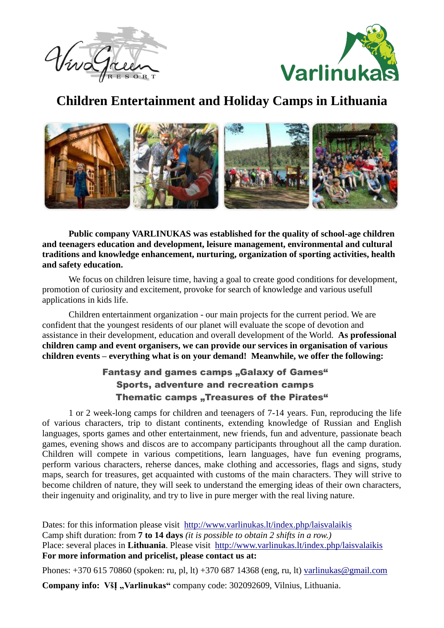



## **Children Entertainment and Holiday Camps in Lithuania**



**Public company VARLINUKAS was established for the quality of school-age children and teenagers education and development, leisure management, environmental and cultural traditions and knowledge enhancement, nurturing, organization of sporting activities, health and safety education.** 

We focus on children leisure time, having a goal to create good conditions for development, promotion of curiosity and excitement, provoke for search of knowledge and various usefull applications in kids life.

Children entertainment organization - our main projects for the current period. We are confident that the youngest residents of our planet will evaluate the scope of devotion and assistance in their development, education and overall development of the World. **As professional children camp and event organisers, we can provide our services in organisation of various children events – everything what is on your demand! Meanwhile, we offer the following:**

## Fantasy and games camps "Galaxy of Games" Sports, adventure and recreation camps Thematic camps "Treasures of the Pirates"

1 or 2 week-long camps for children and teenagers of 7-14 years. Fun, reproducing the life of various characters, trip to distant continents, extending knowledge of Russian and English languages, sports games and other entertainment, new friends, fun and adventure, passionate beach games, evening shows and discos are to accompany participants throughout all the camp duration. Children will compete in various competitions, learn languages, have fun evening programs, perform various characters, reherse dances, make clothing and accessories, flags and signs, study maps, search for treasures, get acquainted with customs of the main characters. They will strive to become children of nature, they will seek to understand the emerging ideas of their own characters, their ingenuity and originality, and try to live in pure merger with the real living nature.

Dates: for this information please visit <http://www.varlinukas.lt/index.php/laisvalaikis> Camp shift duration: from **7 to 14 days** *(it is possible to obtain 2 shifts in a row.)* Place: several places in **Lithuania**. Please visit <http://www.varlinukas.lt/index.php/laisvalaikis> **For more information and pricelist, please contact us at:**

Phones: +370 615 70860 (spoken: ru, pl, lt) +370 687 14368 (eng, ru, lt) varlinukas@gmail.com

**Company info: VšĮ "Varlinukas"** company code: 302092609, Vilnius, Lithuania.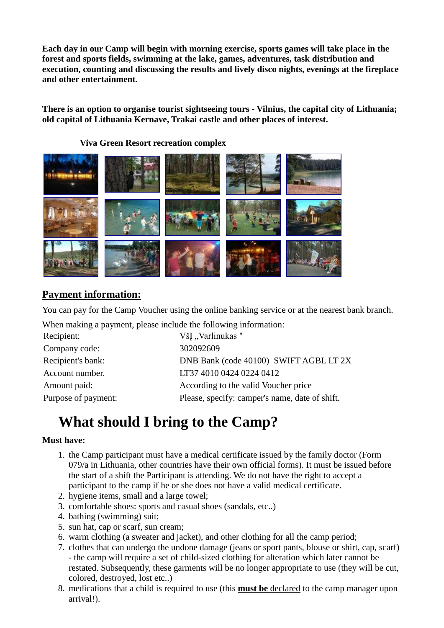**Each day in our Camp will begin with morning exercise, sports games will take place in the forest and sports fields, swimming at the lake, games, adventures, task distribution and execution, counting and discussing the results and lively disco nights, evenings at the fireplace and other entertainment.**

**There is an option to organise tourist sightseeing tours - Vilnius, the capital city of Lithuania; old capital of Lithuania Kernave, Trakai castle and other places of interest.**

**Viva Green Resort recreation complex**



## **Payment information:**

You can pay for the Camp Voucher using the online banking service or at the nearest bank branch.

When making a payment, please include the following information:

| Recipient:          | VšI "Varlinukas"                               |
|---------------------|------------------------------------------------|
| Company code:       | 302092609                                      |
| Recipient's bank:   | DNB Bank (code 40100) SWIFT AGBL LT 2X         |
| Account number.     | LT37 4010 0424 0224 0412                       |
| Amount paid:        | According to the valid Voucher price           |
| Purpose of payment: | Please, specify: camper's name, date of shift. |

# **What should I bring to the Camp?**

### **Must have:**

- 1. the Camp participant must have a medical certificate issued by the family doctor (Form 079/a in Lithuania, other countries have their own official forms). It must be issued before the start of a shift the Participant is attending. We do not have the right to accept a participant to the camp if he or she does not have a valid medical certificate.
- 2. hygiene items, small and a large towel;
- 3. comfortable shoes: sports and casual shoes (sandals, etc..)
- 4. bathing (swimming) suit;
- 5. sun hat, cap or scarf, sun cream;
- 6. warm clothing (a sweater and jacket), and other clothing for all the camp period;
- 7. clothes that can undergo the undone damage (jeans or sport pants, blouse or shirt, cap, scarf) - the camp will require a set of child-sized clothing for alteration which later cannot be restated. Subsequently, these garments will be no longer appropriate to use (they will be cut, colored, destroyed, lost etc..)
- 8. medications that a child is required to use (this **must be** declared to the camp manager upon arrival!).